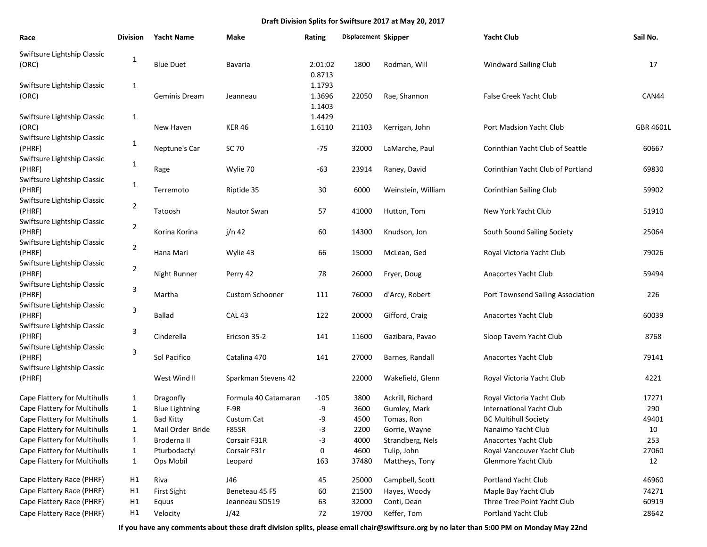| Race                                                                 | <b>Division</b> | <b>Yacht Name</b>                  | Make                         | <b>Rating</b>              | Displacement Skipper |                                  | <b>Yacht Club</b>                                            | Sail No.     |
|----------------------------------------------------------------------|-----------------|------------------------------------|------------------------------|----------------------------|----------------------|----------------------------------|--------------------------------------------------------------|--------------|
| Swiftsure Lightship Classic<br>(ORC)                                 | 1               | <b>Blue Duet</b>                   | Bavaria                      | 2:01:02<br>0.8713          | 1800                 | Rodman, Will                     | <b>Windward Sailing Club</b>                                 | 17           |
| Swiftsure Lightship Classic<br>(ORC)                                 | 1               | Geminis Dream                      | Jeanneau                     | 1.1793<br>1.3696<br>1.1403 | 22050                | Rae, Shannon                     | <b>False Creek Yacht Club</b>                                | CAN44        |
| Swiftsure Lightship Classic<br>(ORC)                                 | 1               | New Haven                          | <b>KER 46</b>                | 1.4429<br>1.6110           | 21103                | Kerrigan, John                   | Port Madsion Yacht Club                                      | GBR 4601L    |
| Swiftsure Lightship Classic<br>(PHRF)                                | 1               | Neptune's Car                      | SC 70                        | $-75$                      | 32000                | LaMarche, Paul                   | Corinthian Yacht Club of Seattle                             | 60667        |
| Swiftsure Lightship Classic<br>(PHRF)                                | 1               | Rage                               | Wylie 70                     | -63                        | 23914                | Raney, David                     | Corinthian Yacht Club of Portland                            | 69830        |
| Swiftsure Lightship Classic<br>(PHRF)                                | 1               | Terremoto                          | Riptide 35                   | 30                         | 6000                 | Weinstein, William               | <b>Corinthian Sailing Club</b>                               | 59902        |
| Swiftsure Lightship Classic<br>(PHRF)                                | 2               | Tatoosh                            | <b>Nautor Swan</b>           | 57                         | 41000                | Hutton, Tom                      | New York Yacht Club                                          | 51910        |
| Swiftsure Lightship Classic<br>(PHRF)                                | 2               | Korina Korina                      | j/n 42                       | 60                         | 14300                | Knudson, Jon                     | South Sound Sailing Society                                  | 25064        |
| Swiftsure Lightship Classic<br>(PHRF)                                | 2               | Hana Mari                          | Wylie 43                     | 66                         | 15000                | McLean, Ged                      | Royal Victoria Yacht Club                                    | 79026        |
| Swiftsure Lightship Classic<br>(PHRF)                                | 2               | Night Runner                       | Perry 42                     | 78                         | 26000                | Fryer, Doug                      | Anacortes Yacht Club                                         | 59494        |
| Swiftsure Lightship Classic<br>(PHRF)                                | 3               | Martha                             | <b>Custom Schooner</b>       | 111                        | 76000                | d'Arcy, Robert                   | Port Townsend Sailing Association                            | 226          |
| Swiftsure Lightship Classic<br>(PHRF)                                | 3               | <b>Ballad</b>                      | <b>CAL 43</b>                | 122                        | 20000                | Gifford, Craig                   | Anacortes Yacht Club                                         | 60039        |
| Swiftsure Lightship Classic<br>(PHRF)                                | 3               | Cinderella                         | Ericson 35-2                 | 141                        | 11600                | Gazibara, Pavao                  | Sloop Tavern Yacht Club                                      | 8768         |
| Swiftsure Lightship Classic<br>(PHRF)<br>Swiftsure Lightship Classic | 3               | Sol Pacifico                       | Catalina 470                 | 141                        | 27000                | Barnes, Randall                  | Anacortes Yacht Club                                         | 79141        |
| (PHRF)                                                               |                 | West Wind II                       | Sparkman Stevens 42          |                            | 22000                | Wakefield, Glenn                 | Royal Victoria Yacht Club                                    | 4221         |
| Cape Flattery for Multihulls<br>Cape Flattery for Multihulls         | 1<br>1          | Dragonfly<br><b>Blue Lightning</b> | Formula 40 Catamaran<br>F-9R | $-105$<br>-9               | 3800<br>3600         | Ackrill, Richard<br>Gumley, Mark | Royal Victoria Yacht Club<br><b>International Yacht Club</b> | 17271<br>290 |
| Cape Flattery for Multihulls                                         | 1               | <b>Bad Kitty</b>                   | <b>Custom Cat</b>            | -9                         | 4500                 | Tomas, Ron                       | <b>BC Multihull Society</b>                                  | 49401        |
| Cape Flattery for Multihulls                                         | 1               | Mail Order Bride                   | F85SR                        | -3                         | 2200                 | Gorrie, Wayne                    | Nanaimo Yacht Club                                           | 10           |
| Cape Flattery for Multihulls                                         | 1               | Broderna II                        | Corsair F31R                 | $-3$                       | 4000                 | Strandberg, Nels                 | Anacortes Yacht Club                                         | 253          |
| Cape Flattery for Multihulls                                         | 1               | Pturbodactyl                       | Corsair F31r                 | 0                          | 4600                 | Tulip, John                      | Royal Vancouver Yacht Club                                   | 27060        |
| Cape Flattery for Multihulls                                         | 1               | Ops Mobil                          | Leopard                      | 163                        | 37480                | Mattheys, Tony                   | Glenmore Yacht Club                                          | 12           |
| Cape Flattery Race (PHRF)                                            | H1              | Riva                               | J46                          | 45                         | 25000                | Campbell, Scott                  | Portland Yacht Club                                          | 46960        |
| Cape Flattery Race (PHRF)                                            | H1              | <b>First Sight</b>                 | Beneteau 45 F5               | 60                         | 21500                | Hayes, Woody                     | Maple Bay Yacht Club                                         | 74271        |
| Cape Flattery Race (PHRF)                                            | H1              | Equus                              | Jeanneau SO519               | 63                         | 32000                | Conti, Dean                      | Three Tree Point Yacht Club                                  | 60919        |
| Cape Flattery Race (PHRF)                                            | H1              | Velocity                           | J/42                         | 72                         | 19700                | Keffer, Tom                      | Portland Yacht Club                                          | 28642        |

**If you have any comments about these draft division splits, please email chair@swiftsure.org by no later than 5:00 PM on Monday May 22nd**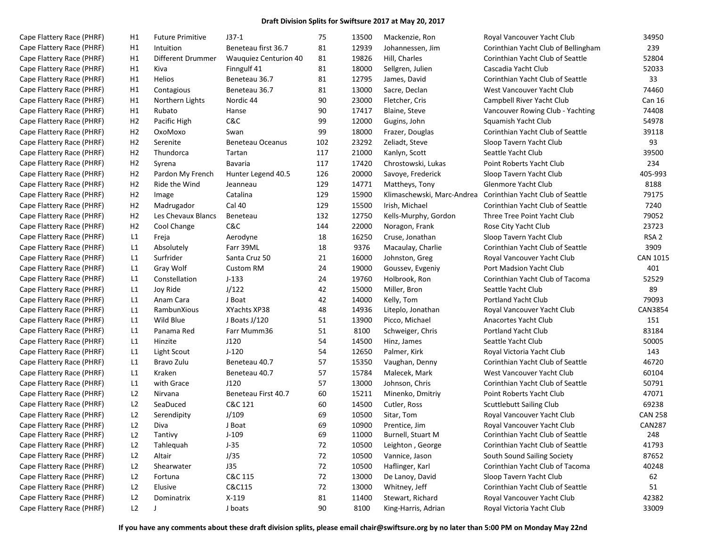| Cape Flattery Race (PHRF) | H1             | <b>Future Primitive</b> | $J37-1$                      | 75  | 13500 | Mackenzie, Ron             | Royal Vancouver Yacht Club          | 34950            |
|---------------------------|----------------|-------------------------|------------------------------|-----|-------|----------------------------|-------------------------------------|------------------|
| Cape Flattery Race (PHRF) | H1             | Intuition               | Beneteau first 36.7          | 81  | 12939 | Johannessen, Jim           | Corinthian Yacht Club of Bellingham | 239              |
| Cape Flattery Race (PHRF) | H1             | Different Drummer       | <b>Wauguiez Centurion 40</b> | 81  | 19826 | Hill, Charles              | Corinthian Yacht Club of Seattle    | 52804            |
| Cape Flattery Race (PHRF) | H1             | Kiva                    | Finngulf 41                  | 81  | 18000 | Sellgren, Julien           | Cascadia Yacht Club                 | 52033            |
| Cape Flattery Race (PHRF) | H1             | Helios                  | Beneteau 36.7                | 81  | 12795 | James, David               | Corinthian Yacht Club of Seattle    | 33               |
| Cape Flattery Race (PHRF) | H1             | Contagious              | Beneteau 36.7                | 81  | 13000 | Sacre, Declan              | West Vancouver Yacht Club           | 74460            |
| Cape Flattery Race (PHRF) | H1             | Northern Lights         | Nordic 44                    | 90  | 23000 | Fletcher, Cris             | Campbell River Yacht Club           | Can 16           |
| Cape Flattery Race (PHRF) | H1             | Rubato                  | Hanse                        | 90  | 17417 | Blaine, Steve              | Vancouver Rowing Club - Yachting    | 74408            |
| Cape Flattery Race (PHRF) | H <sub>2</sub> | Pacific High            | C&C                          | 99  | 12000 | Gugins, John               | Squamish Yacht Club                 | 54978            |
| Cape Flattery Race (PHRF) | H <sub>2</sub> | OxoMoxo                 | Swan                         | 99  | 18000 | Frazer, Douglas            | Corinthian Yacht Club of Seattle    | 39118            |
| Cape Flattery Race (PHRF) | H <sub>2</sub> | Serenite                | <b>Beneteau Oceanus</b>      | 102 | 23292 | Zeliadt, Steve             | Sloop Tavern Yacht Club             | 93               |
| Cape Flattery Race (PHRF) | H <sub>2</sub> | Thundorca               | Tartan                       | 117 | 21000 | Kanlyn, Scott              | Seattle Yacht Club                  | 39500            |
| Cape Flattery Race (PHRF) | H <sub>2</sub> | Syrena                  | Bavaria                      | 117 | 17420 | Chrostowski, Lukas         | Point Roberts Yacht Club            | 234              |
| Cape Flattery Race (PHRF) | H <sub>2</sub> | Pardon My French        | Hunter Legend 40.5           | 126 | 20000 | Savoye, Frederick          | Sloop Tavern Yacht Club             | 405-993          |
| Cape Flattery Race (PHRF) | H <sub>2</sub> | Ride the Wind           | Jeanneau                     | 129 | 14771 | Mattheys, Tony             | Glenmore Yacht Club                 | 8188             |
| Cape Flattery Race (PHRF) | H <sub>2</sub> | Image                   | Catalina                     | 129 | 15900 | Klimaschewski, Marc-Andrea | Corinthian Yacht Club of Seattle    | 79175            |
| Cape Flattery Race (PHRF) | H <sub>2</sub> | Madrugador              | Cal 40                       | 129 | 15500 | Irish, Michael             | Corinthian Yacht Club of Seattle    | 7240             |
| Cape Flattery Race (PHRF) | H <sub>2</sub> | Les Chevaux Blancs      | Beneteau                     | 132 | 12750 | Kells-Murphy, Gordon       | Three Tree Point Yacht Club         | 79052            |
| Cape Flattery Race (PHRF) | H <sub>2</sub> | Cool Change             | C&C                          | 144 | 22000 | Noragon, Frank             | Rose City Yacht Club                | 23723            |
| Cape Flattery Race (PHRF) | L1             | Freja                   | Aerodyne                     | 18  | 16250 | Cruse, Jonathan            | Sloop Tavern Yacht Club             | RSA <sub>2</sub> |
| Cape Flattery Race (PHRF) | L1             | Absolutely              | Farr 39ML                    | 18  | 9376  | Macaulay, Charlie          | Corinthian Yacht Club of Seattle    | 3909             |
| Cape Flattery Race (PHRF) | L1             | Surfrider               | Santa Cruz 50                | 21  | 16000 | Johnston, Greg             | Royal Vancouver Yacht Club          | <b>CAN 1015</b>  |
| Cape Flattery Race (PHRF) | L1             | Gray Wolf               | <b>Custom RM</b>             | 24  | 19000 | Goussev, Evgeniy           | Port Madsion Yacht Club             | 401              |
| Cape Flattery Race (PHRF) | L1             | Constellation           | $J-133$                      | 24  | 19760 | Holbrook, Ron              | Corinthian Yacht Club of Tacoma     | 52529            |
| Cape Flattery Race (PHRF) | L1             | Joy Ride                | J/122                        | 42  | 15000 | Miller, Bron               | Seattle Yacht Club                  | 89               |
| Cape Flattery Race (PHRF) | L1             | Anam Cara               | J Boat                       | 42  | 14000 | Kelly, Tom                 | <b>Portland Yacht Club</b>          | 79093            |
| Cape Flattery Race (PHRF) | L1             | RambunXious             | XYachts XP38                 | 48  | 14936 | Liteplo, Jonathan          | Royal Vancouver Yacht Club          | <b>CAN3854</b>   |
| Cape Flattery Race (PHRF) | L1             | Wild Blue               | J Boats J/120                | 51  | 13900 | Picco, Michael             | Anacortes Yacht Club                | 151              |
| Cape Flattery Race (PHRF) | L1             | Panama Red              | Farr Mumm36                  | 51  | 8100  | Schweiger, Chris           | <b>Portland Yacht Club</b>          | 83184            |
| Cape Flattery Race (PHRF) | L1             | Hinzite                 | J120                         | 54  | 14500 | Hinz, James                | Seattle Yacht Club                  | 50005            |
| Cape Flattery Race (PHRF) | L1             | Light Scout             | $J-120$                      | 54  | 12650 | Palmer, Kirk               | Royal Victoria Yacht Club           | 143              |
| Cape Flattery Race (PHRF) | L1             | Bravo Zulu              | Beneteau 40.7                | 57  | 15350 | Vaughan, Denny             | Corinthian Yacht Club of Seattle    | 46720            |
| Cape Flattery Race (PHRF) | L1             | Kraken                  | Beneteau 40.7                | 57  | 15784 | Malecek, Mark              | West Vancouver Yacht Club           | 60104            |
| Cape Flattery Race (PHRF) | L1             | with Grace              | J120                         | 57  | 13000 | Johnson, Chris             | Corinthian Yacht Club of Seattle    | 50791            |
| Cape Flattery Race (PHRF) | L2             | Nirvana                 | Beneteau First 40.7          | 60  | 15211 | Minenko, Dmitriy           | Point Roberts Yacht Club            | 47071            |
| Cape Flattery Race (PHRF) | L2             | SeaDuced                | C&C 121                      | 60  | 14500 | Cutler, Ross               | <b>Scuttlebutt Sailing Club</b>     | 69238            |
| Cape Flattery Race (PHRF) | L2             | Serendipity             | J/109                        | 69  | 10500 | Sitar, Tom                 | Royal Vancouver Yacht Club          | <b>CAN 258</b>   |
| Cape Flattery Race (PHRF) | L2             | Diva                    | J Boat                       | 69  | 10900 | Prentice, Jim              | Royal Vancouver Yacht Club          | <b>CAN287</b>    |
| Cape Flattery Race (PHRF) | L2             | Tantivy                 | $J-109$                      | 69  | 11000 | Burnell, Stuart M          | Corinthian Yacht Club of Seattle    | 248              |
| Cape Flattery Race (PHRF) | L2             | Tahlequah               | $J-35$                       | 72  | 10500 | Leighton, George           | Corinthian Yacht Club of Seattle    | 41793            |
| Cape Flattery Race (PHRF) | L2             | Altair                  | J/35                         | 72  | 10500 | Vannice, Jason             | South Sound Sailing Society         | 87652            |
| Cape Flattery Race (PHRF) | L2             | Shearwater              | J35                          | 72  | 10500 | Haflinger, Karl            | Corinthian Yacht Club of Tacoma     | 40248            |
| Cape Flattery Race (PHRF) | L2             | Fortuna                 | C&C 115                      | 72  | 13000 | De Lanoy, David            | Sloop Tavern Yacht Club             | 62               |
| Cape Flattery Race (PHRF) | L2             | Elusive                 | C&C115                       | 72  | 13000 | Whitney, Jeff              | Corinthian Yacht Club of Seattle    | 51               |
| Cape Flattery Race (PHRF) | L2             | Dominatrix              | $X-119$                      | 81  | 11400 | Stewart, Richard           | Royal Vancouver Yacht Club          | 42382            |
| Cape Flattery Race (PHRF) | L2             | J                       | J boats                      | 90  | 8100  | King-Harris, Adrian        | Royal Victoria Yacht Club           | 33009            |
|                           |                |                         |                              |     |       |                            |                                     |                  |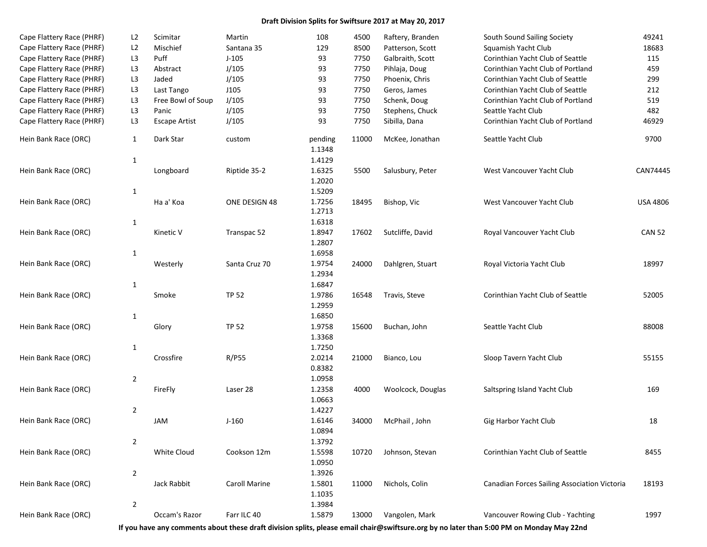| Cape Flattery Race (PHRF) | L2             | Scimitar             | Martin               | 108               | 4500  | Raftery, Branden  | South Sound Sailing Society                  | 49241           |
|---------------------------|----------------|----------------------|----------------------|-------------------|-------|-------------------|----------------------------------------------|-----------------|
| Cape Flattery Race (PHRF) | L2             | Mischief             | Santana 35           | 129               | 8500  | Patterson, Scott  | Squamish Yacht Club                          | 18683           |
| Cape Flattery Race (PHRF) | L <sub>3</sub> | Puff                 | $J-105$              | 93                | 7750  | Galbraith, Scott  | Corinthian Yacht Club of Seattle             | 115             |
| Cape Flattery Race (PHRF) | L <sub>3</sub> | Abstract             | J/105                | 93                | 7750  | Pihlaja, Doug     | Corinthian Yacht Club of Portland            | 459             |
| Cape Flattery Race (PHRF) | L <sub>3</sub> | Jaded                | J/105                | 93                | 7750  | Phoenix, Chris    | Corinthian Yacht Club of Seattle             | 299             |
| Cape Flattery Race (PHRF) | L <sub>3</sub> | Last Tango           | J105                 | 93                | 7750  | Geros, James      | Corinthian Yacht Club of Seattle             | 212             |
| Cape Flattery Race (PHRF) | L <sub>3</sub> | Free Bowl of Soup    | J/105                | 93                | 7750  | Schenk, Doug      | Corinthian Yacht Club of Portland            | 519             |
| Cape Flattery Race (PHRF) | L <sub>3</sub> | Panic                | J/105                | 93                | 7750  | Stephens, Chuck   | Seattle Yacht Club                           | 482             |
| Cape Flattery Race (PHRF) | L <sub>3</sub> | <b>Escape Artist</b> | J/105                | 93                | 7750  | Sibilla, Dana     | Corinthian Yacht Club of Portland            | 46929           |
| Hein Bank Race (ORC)      | $\mathbf{1}$   | Dark Star            | custom               | pending<br>1.1348 | 11000 | McKee, Jonathan   | Seattle Yacht Club                           | 9700            |
|                           | $\mathbf{1}$   |                      |                      | 1.4129            |       |                   |                                              |                 |
| Hein Bank Race (ORC)      |                | Longboard            | Riptide 35-2         | 1.6325<br>1.2020  | 5500  | Salusbury, Peter  | West Vancouver Yacht Club                    | CAN74445        |
|                           | $\mathbf{1}$   |                      |                      | 1.5209            |       |                   |                                              |                 |
| Hein Bank Race (ORC)      |                | Ha a' Koa            | ONE DESIGN 48        | 1.7256<br>1.2713  | 18495 | Bishop, Vic       | West Vancouver Yacht Club                    | <b>USA 4806</b> |
|                           | $\mathbf{1}$   |                      |                      | 1.6318            |       |                   |                                              |                 |
| Hein Bank Race (ORC)      |                | Kinetic V            | Transpac 52          | 1.8947            | 17602 | Sutcliffe, David  | Royal Vancouver Yacht Club                   | <b>CAN 52</b>   |
|                           |                |                      |                      | 1.2807            |       |                   |                                              |                 |
|                           | $\mathbf{1}$   |                      |                      | 1.6958            |       |                   |                                              |                 |
| Hein Bank Race (ORC)      |                | Westerly             | Santa Cruz 70        | 1.9754            | 24000 | Dahlgren, Stuart  | Royal Victoria Yacht Club                    | 18997           |
|                           |                |                      |                      | 1.2934            |       |                   |                                              |                 |
|                           | $\mathbf{1}$   |                      |                      | 1.6847            |       |                   |                                              |                 |
| Hein Bank Race (ORC)      |                | Smoke                | <b>TP 52</b>         | 1.9786            | 16548 | Travis, Steve     | Corinthian Yacht Club of Seattle             | 52005           |
|                           |                |                      |                      | 1.2959            |       |                   |                                              |                 |
|                           | $\mathbf{1}$   |                      |                      | 1.6850            |       |                   |                                              |                 |
| Hein Bank Race (ORC)      |                | Glory                | <b>TP 52</b>         | 1.9758            | 15600 | Buchan, John      | Seattle Yacht Club                           | 88008           |
|                           |                |                      |                      | 1.3368            |       |                   |                                              |                 |
|                           | $\mathbf{1}$   |                      |                      | 1.7250            |       |                   |                                              |                 |
| Hein Bank Race (ORC)      |                | Crossfire            | R/P55                | 2.0214            | 21000 | Bianco, Lou       | Sloop Tavern Yacht Club                      | 55155           |
|                           |                |                      |                      | 0.8382            |       |                   |                                              |                 |
| Hein Bank Race (ORC)      | $\overline{2}$ |                      |                      | 1.0958            |       |                   |                                              |                 |
|                           |                | FireFly              | Laser 28             | 1.2358            | 4000  | Woolcock, Douglas | Saltspring Island Yacht Club                 | 169             |
|                           |                |                      |                      | 1.0663            |       |                   |                                              |                 |
|                           | $\overline{2}$ |                      |                      | 1.4227            |       |                   |                                              |                 |
| Hein Bank Race (ORC)      |                | JAM                  | $J-160$              | 1.6146<br>1.0894  | 34000 | McPhail, John     | Gig Harbor Yacht Club                        | 18              |
|                           |                |                      |                      |                   |       |                   |                                              |                 |
|                           | $\overline{2}$ |                      |                      | 1.3792            |       |                   | Corinthian Yacht Club of Seattle             |                 |
| Hein Bank Race (ORC)      |                | White Cloud          | Cookson 12m          | 1.5598            | 10720 | Johnson, Stevan   |                                              | 8455            |
|                           |                |                      |                      | 1.0950            |       |                   |                                              |                 |
| Hein Bank Race (ORC)      | $\overline{2}$ | Jack Rabbit          | <b>Caroll Marine</b> | 1.3926            | 11000 | Nichols, Colin    |                                              |                 |
|                           |                |                      |                      | 1.5801<br>1.1035  |       |                   | Canadian Forces Sailing Association Victoria | 18193           |
|                           | $\overline{2}$ |                      |                      | 1.3984            |       |                   |                                              |                 |
| Hein Bank Race (ORC)      |                | Occam's Razor        | Farr ILC 40          |                   |       |                   |                                              | 1997            |
|                           |                |                      |                      | 1.5879            | 13000 | Vangolen, Mark    | Vancouver Rowing Club - Yachting             |                 |

**If you have any comments about these draft division splits, please email chair@swiftsure.org by no later than 5:00 PM on Monday May 22nd**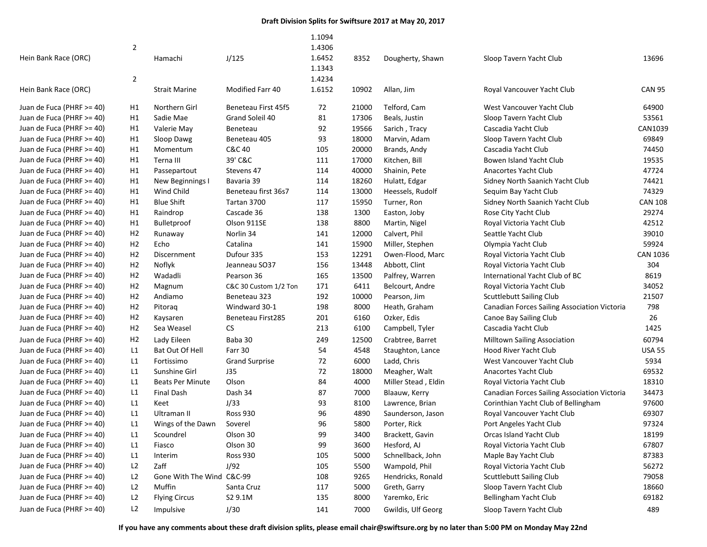|                           | $\overline{2}$ |                           |                       | 1.1094<br>1.4306 |       |                     |                                                     |                 |
|---------------------------|----------------|---------------------------|-----------------------|------------------|-------|---------------------|-----------------------------------------------------|-----------------|
| Hein Bank Race (ORC)      |                | Hamachi                   | J/125                 | 1.6452<br>1.1343 | 8352  | Dougherty, Shawn    | Sloop Tavern Yacht Club                             | 13696           |
|                           | $\overline{2}$ |                           |                       | 1.4234           |       |                     |                                                     |                 |
| Hein Bank Race (ORC)      |                | <b>Strait Marine</b>      | Modified Farr 40      | 1.6152           | 10902 | Allan, Jim          | Royal Vancouver Yacht Club                          | <b>CAN 95</b>   |
| Juan de Fuca (PHRF >= 40) | Η1             | Northern Girl             | Beneteau First 45f5   | 72               | 21000 | Telford, Cam        | West Vancouver Yacht Club                           | 64900           |
| Juan de Fuca (PHRF >= 40) | Η1             | Sadie Mae                 | Grand Soleil 40       | 81               | 17306 | Beals, Justin       | Sloop Tavern Yacht Club                             | 53561           |
| Juan de Fuca (PHRF >= 40) | Η1             | Valerie May               | Beneteau              | 92               | 19566 | Sarich, Tracy       | Cascadia Yacht Club                                 | CAN1039         |
| Juan de Fuca (PHRF >= 40) | Η1             | Sloop Dawg                | Beneteau 405          | 93               | 18000 | Marvin, Adam        | Sloop Tavern Yacht Club                             | 69849           |
| Juan de Fuca (PHRF >= 40) | Η1             | Momentum                  | C&C 40                | 105              | 20000 | Brands, Andy        | Cascadia Yacht Club                                 | 74450           |
| Juan de Fuca (PHRF >= 40) | Η1             | Terna III                 | 39' C&C               | 111              | 17000 | Kitchen, Bill       | Bowen Island Yacht Club                             | 19535           |
| Juan de Fuca (PHRF >= 40) | Η1             | Passepartout              | Stevens 47            | 114              | 40000 | Shainin, Pete       | Anacortes Yacht Club                                | 47724           |
| Juan de Fuca (PHRF >= 40) | Η1             | New Beginnings I          | Bavaria 39            | 114              | 18260 | Hulatt, Edgar       | Sidney North Saanich Yacht Club                     | 74421           |
| Juan de Fuca (PHRF >= 40) | Η1             | Wind Child                | Beneteau first 36s7   | 114              | 13000 | Heessels, Rudolf    | Sequim Bay Yacht Club                               | 74329           |
| Juan de Fuca (PHRF >= 40) | Η1             | <b>Blue Shift</b>         | Tartan 3700           | 117              | 15950 | Turner, Ron         | Sidney North Saanich Yacht Club                     | CAN 108         |
| Juan de Fuca (PHRF >= 40) | Η1             | Raindrop                  | Cascade 36            | 138              | 1300  | Easton, Joby        | Rose City Yacht Club                                | 29274           |
| Juan de Fuca (PHRF >= 40) | H1             | <b>Bulletproof</b>        | Olson 911SE           | 138              | 8800  | Martin, Nigel       | Royal Victoria Yacht Club                           | 42512           |
| Juan de Fuca (PHRF >= 40) | H <sub>2</sub> | Runaway                   | Norlin 34             | 141              | 12000 | Calvert, Phil       | Seattle Yacht Club                                  | 39010           |
| Juan de Fuca (PHRF >= 40) | H <sub>2</sub> | Echo                      | Catalina              | 141              | 15900 | Miller, Stephen     | Olympia Yacht Club                                  | 59924           |
| Juan de Fuca (PHRF >= 40) | H <sub>2</sub> | Discernment               | Dufour 335            | 153              | 12291 | Owen-Flood, Marc    | Royal Victoria Yacht Club                           | <b>CAN 1036</b> |
| Juan de Fuca (PHRF >= 40) | H <sub>2</sub> | Noflyk                    | Jeanneau SO37         | 156              | 13448 | Abbott, Clint       | Royal Victoria Yacht Club                           | 304             |
| Juan de Fuca (PHRF >= 40) | H <sub>2</sub> | Wadadli                   | Pearson 36            | 165              | 13500 | Palfrey, Warren     | International Yacht Club of BC                      | 8619            |
| Juan de Fuca (PHRF >= 40) | H <sub>2</sub> | Magnum                    | C&C 30 Custom 1/2 Ton | 171              | 6411  | Belcourt, Andre     | Royal Victoria Yacht Club                           | 34052           |
| Juan de Fuca (PHRF >= 40) | H <sub>2</sub> | Andiamo                   | Beneteau 323          | 192              | 10000 | Pearson, Jim        | <b>Scuttlebutt Sailing Club</b>                     | 21507           |
| Juan de Fuca (PHRF >= 40) | H <sub>2</sub> | Pitoraq                   | Windward 30-1         | 198              | 8000  | Heath, Graham       | Canadian Forces Sailing Association Victoria        | 798             |
| Juan de Fuca (PHRF >= 40) | H <sub>2</sub> | Kaysaren                  | Beneteau First285     | 201              | 6160  | Ozker, Edis         | Canoe Bay Sailing Club                              | 26              |
| Juan de Fuca (PHRF >= 40) | H <sub>2</sub> | Sea Weasel                | ${\sf CS}$            | 213              | 6100  | Campbell, Tyler     | Cascadia Yacht Club                                 | 1425            |
| Juan de Fuca (PHRF >= 40) | H <sub>2</sub> | Lady Eileen               | Baba 30               | 249              | 12500 | Crabtree, Barret    | <b>Milltown Sailing Association</b>                 | 60794           |
| Juan de Fuca (PHRF >= 40) | L1             | Bat Out Of Hell           | Farr 30               | 54               | 4548  | Staughton, Lance    | Hood River Yacht Club                               | <b>USA 55</b>   |
| Juan de Fuca (PHRF >= 40) | L1             | Fortissimo                | <b>Grand Surprise</b> | 72               | 6000  | Ladd, Chris         | West Vancouver Yacht Club                           | 5934            |
| Juan de Fuca (PHRF >= 40) | L1             | Sunshine Girl             | J35                   | 72               | 18000 | Meagher, Walt       | Anacortes Yacht Club                                | 69532           |
| Juan de Fuca (PHRF >= 40) | L1             | <b>Beats Per Minute</b>   | Olson                 | 84               | 4000  | Miller Stead, Eldin | Royal Victoria Yacht Club                           | 18310           |
| Juan de Fuca (PHRF >= 40) | L1             | <b>Final Dash</b>         | Dash 34               | 87               | 7000  | Blaauw, Kerry       | <b>Canadian Forces Sailing Association Victoria</b> | 34473           |
| Juan de Fuca (PHRF >= 40) | L1             | Keet                      | J/33                  | 93               | 8100  | Lawrence, Brian     | Corinthian Yacht Club of Bellingham                 | 97600           |
| Juan de Fuca (PHRF >= 40) | L1             | Ultraman II               | <b>Ross 930</b>       | 96               | 4890  | Saunderson, Jason   | Royal Vancouver Yacht Club                          | 69307           |
| Juan de Fuca (PHRF >= 40) | L1             | Wings of the Dawn         | Soverel               | 96               | 5800  | Porter, Rick        | Port Angeles Yacht Club                             | 97324           |
| Juan de Fuca (PHRF >= 40) | L1             | Scoundrel                 | Olson 30              | 99               | 3400  | Brackett, Gavin     | Orcas Island Yacht Club                             | 18199           |
| Juan de Fuca (PHRF >= 40) | L1             | Fiasco                    | Olson 30              | 99               | 3600  | Hesford, AJ         | Royal Victoria Yacht Club                           | 67807           |
| Juan de Fuca (PHRF >= 40) | L1             | Interim                   | <b>Ross 930</b>       | 105              | 5000  | Schnellback, John   | Maple Bay Yacht Club                                | 87383           |
| Juan de Fuca (PHRF >= 40) | L <sub>2</sub> | Zaff                      | J/92                  | 105              | 5500  | Wampold, Phil       | Royal Victoria Yacht Club                           | 56272           |
| Juan de Fuca (PHRF >= 40) | L2             | Gone With The Wind C&C-99 |                       | 108              | 9265  | Hendricks, Ronald   | <b>Scuttlebutt Sailing Club</b>                     | 79058           |
| Juan de Fuca (PHRF >= 40) | L2             | Muffin                    | Santa Cruz            | 117              | 5000  | Greth, Garry        | Sloop Tavern Yacht Club                             | 18660           |
| Juan de Fuca (PHRF >= 40) | L <sub>2</sub> | <b>Flying Circus</b>      | S2 9.1M               | 135              | 8000  | Yaremko, Eric       | Bellingham Yacht Club                               | 69182           |
| Juan de Fuca (PHRF >= 40) | L <sub>2</sub> | Impulsive                 | J/30                  | 141              | 7000  | Gwildis, Ulf Georg  | Sloop Tavern Yacht Club                             | 489             |